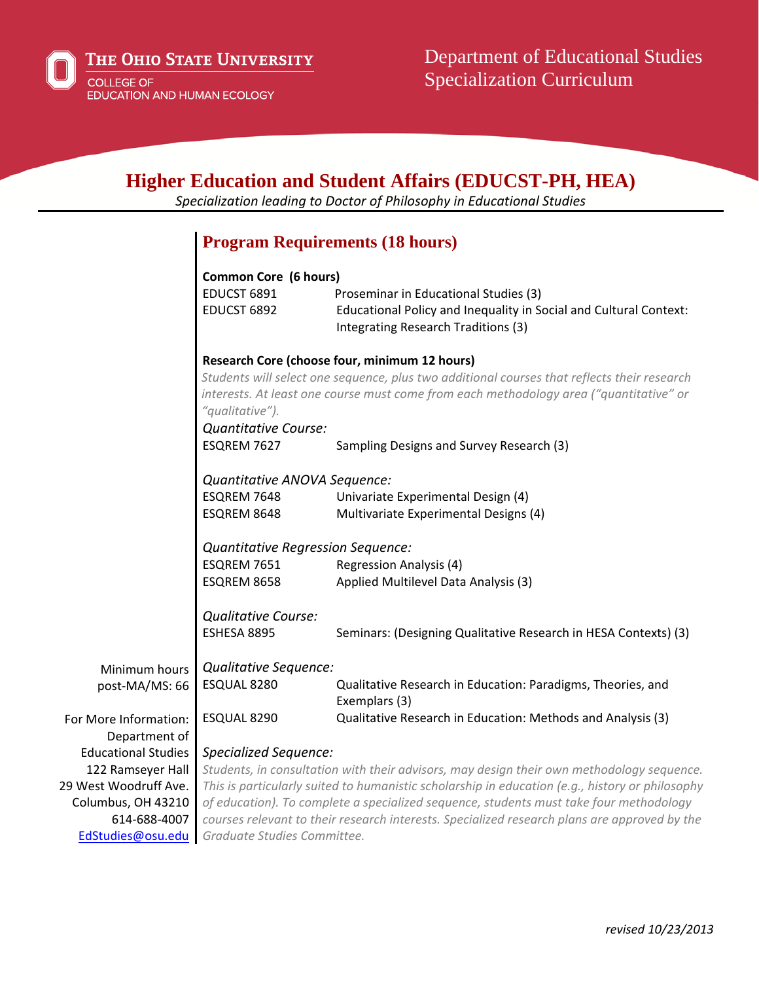EdStudies@osu.edu

*Graduate Studies Committee.*

## **Higher Education and Student Affairs (EDUCST-PH, HEA)**  *Specialization leading to Doctor of Philosophy in Educational Studies* Minimum hours post‐MA/MS: 66 For More Information: Department of Educational Studies 122 Ramseyer Hall 29 West Woodruff Ave. Columbus, OH 43210 614‐688‐4007 **Program Requirements (18 hours) Common Core (6 hours)** EDUCST 6891 Proseminar in Educational Studies (3) EDUCST 6892 Educational Policy and Inequality in Social and Cultural Context: Integrating Research Traditions (3) **Research Core (choose four, minimum 12 hours)**  *Students will select one sequence, plus two additional courses that reflects their research interests. At least one course must come from each methodology area ("quantitative" or "qualitative"). Quantitative Course:* ESQREM 7627 Sampling Designs and Survey Research (3) *Quantitative ANOVA Sequence:* ESQREM 7648 Univariate Experimental Design (4) ESQREM 8648 Multivariate Experimental Designs (4) *Quantitative Regression Sequence:* ESQREM 7651 Regression Analysis (4) ESQREM 8658 Applied Multilevel Data Analysis (3) *Qualitative Course:* ESHESA 8895 Seminars: (Designing Qualitative Research in HESA Contexts) (3) *Qualitative Sequence:* ESQUAL 8280 Qualitative Research in Education: Paradigms, Theories, and Exemplars (3) ESQUAL 8290 Qualitative Research in Education: Methods and Analysis (3) *Specialized Sequence: Students, in consultation with their advisors, may design their own methodology sequence. This is particularly suited to humanistic scholarship in education (e.g., history or philosophy of education). To complete a specialized sequence, students must take four methodology courses relevant to their research interests. Specialized research plans are approved by the*